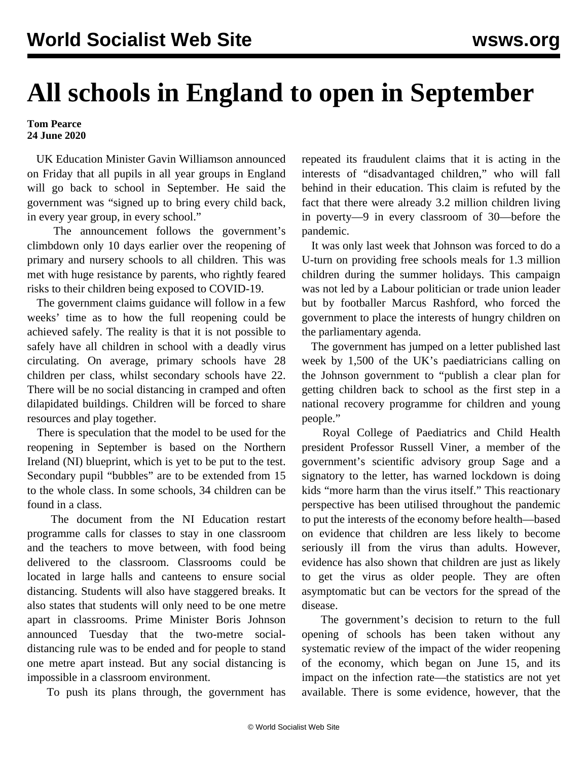## **All schools in England to open in September**

## **Tom Pearce 24 June 2020**

 UK Education Minister Gavin Williamson announced on Friday that all pupils in all year groups in England will go back to school in September. He said the government was "signed up to bring every child back, in every year group, in every school."

 The announcement follows the government's climbdown only 10 days earlier over the reopening of primary and nursery schools to all children. This was met with huge resistance by parents, who rightly feared risks to their children being exposed to COVID-19.

 The government claims guidance will follow in a few weeks' time as to how the full reopening could be achieved safely. The reality is that it is not possible to safely have all children in school with a deadly virus circulating. On average, primary schools have 28 children per class, whilst secondary schools have 22. There will be no social distancing in cramped and often dilapidated buildings. Children will be forced to share resources and play together.

 There is speculation that the model to be used for the reopening in September is based on the Northern Ireland (NI) blueprint, which is yet to be put to the test. Secondary pupil "bubbles" are to be extended from 15 to the whole class. In some schools, 34 children can be found in a class.

 The document from the NI Education restart programme calls for classes to stay in one classroom and the teachers to move between, with food being delivered to the classroom. Classrooms could be located in large halls and canteens to ensure social distancing. Students will also have staggered breaks. It also states that students will only need to be one metre apart in classrooms. Prime Minister Boris Johnson announced Tuesday that the two-metre socialdistancing rule was to be ended and for people to stand one metre apart instead. But any social distancing is impossible in a classroom environment.

To push its plans through, the government has

repeated its fraudulent claims that it is acting in the interests of "disadvantaged children," who will fall behind in their education. This claim is refuted by the fact that there were already 3.2 million children living in poverty—9 in every classroom of 30—before the pandemic.

 It was only last week that Johnson was forced to do a U-turn on providing free schools meals for 1.3 million children during the summer holidays. This campaign was not led by a Labour politician or trade union leader but by footballer Marcus Rashford, who forced the government to place the interests of hungry children on the parliamentary agenda.

 The government has jumped on a letter published last week by 1,500 of the UK's paediatricians calling on the Johnson government to "publish a clear plan for getting children back to school as the first step in a national recovery programme for children and young people."

 Royal College of Paediatrics and Child Health president Professor Russell Viner, a member of the government's scientific advisory group Sage and a signatory to the letter, has warned lockdown is doing kids "more harm than the virus itself." This reactionary perspective has been utilised throughout the pandemic to put the interests of the economy before health—based on evidence that children are less likely to become seriously ill from the virus than adults. However, evidence has also shown that children are just as likely to get the virus as older people. They are often asymptomatic but can be vectors for the spread of the disease.

 The government's decision to return to the full opening of schools has been taken without any systematic review of the impact of the wider reopening of the economy, which began on June 15, and its impact on the infection rate—the statistics are not yet available. There is some evidence, however, that the